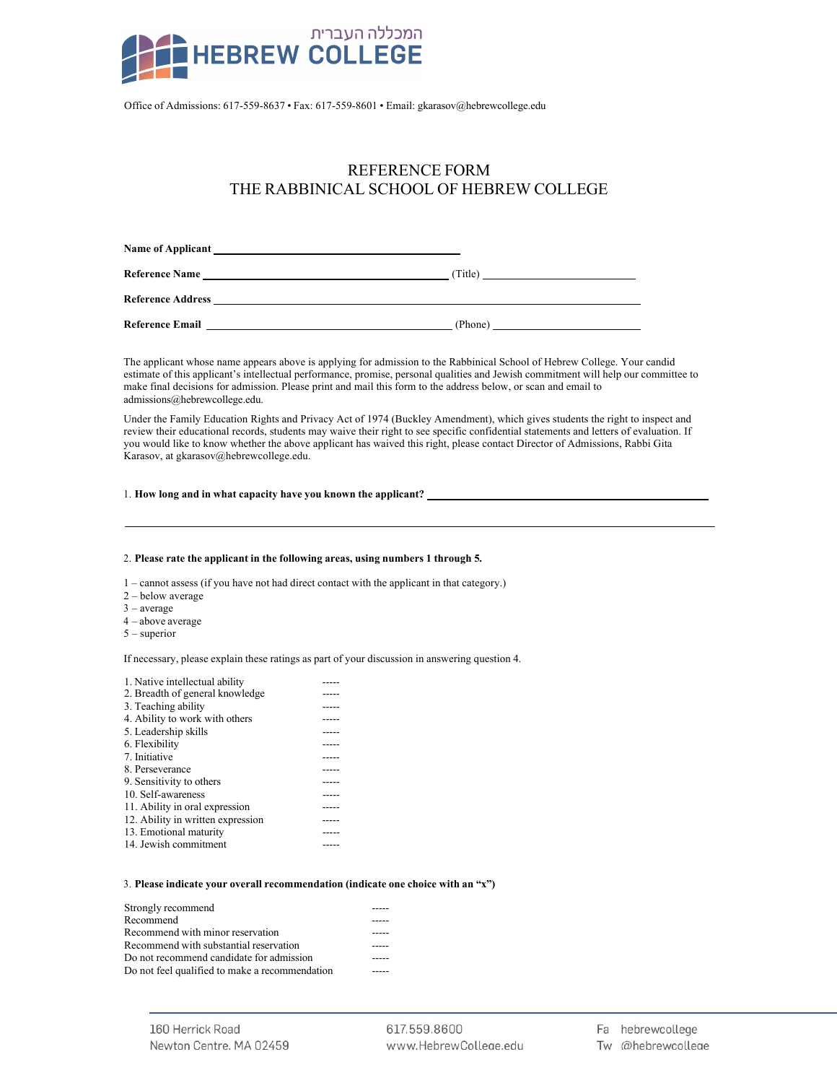

Office of Admissions: 617-559-8637 • Fax: 617-559-8601 • Email: gkarasov@hebrewcollege.edu

## REFERENCE FORM THE RABBINICAL SCHOOL OF HEBREW COLLEGE

| <b>Name of Applicant</b> |         |
|--------------------------|---------|
| <b>Reference Name</b>    | (Title) |
| <b>Reference Address</b> |         |
| <b>Reference Email</b>   | (Phone) |

The applicant whose name appears above is applying for admission to the Rabbinical School of Hebrew College. Your candid estimate of this applicant's intellectual performance, promise, personal qualities and Jewish commitment will help our committee to make final decisions for admission. Please print and mail this form to the address below, or scan and email to admissions@hebrewcollege.edu.

Under the Family Education Rights and Privacy Act of 1974 (Buckley Amendment), which gives students the right to inspect and review their educational records, students may waive their right to see specific confidential statements and letters of evaluation. If you would like to know whether the above applicant has waived this right, please contact Director of Admissions, Rabbi Gita Karasov, at gkarasov@hebrewcollege.edu.

## 1. **How long and in what capacity have you known the applicant?**

## 2. **Please rate the applicant in the following areas, using numbers 1 through 5.**

1 – cannot assess (if you have not had direct contact with the applicant in that category.)

- 2 below average
- 3 average
- 4 above average
- 5 superior

If necessary, please explain these ratings as part of your discussion in answering question 4.

## 3. **Please indicate your overall recommendation (indicate one choice with an "x")**

| Strongly recommend                             |  |
|------------------------------------------------|--|
| Recommend                                      |  |
| Recommend with minor reservation               |  |
| Recommend with substantial reservation         |  |
| Do not recommend candidate for admission       |  |
| Do not feel qualified to make a recommendation |  |

617.559.8600 www.HebrewColleae.edu Fa hebrewcollege Tw @hebrewcollege